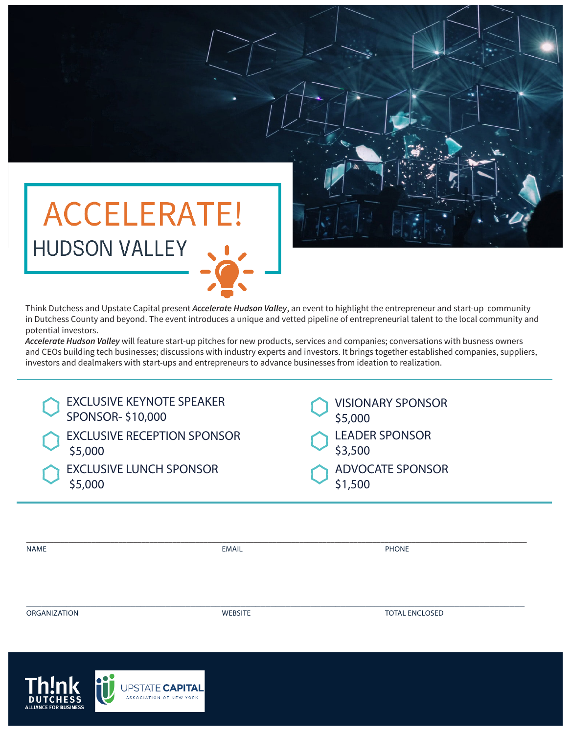

Think Dutchess and Upstate Capital present *Accelerate Hudson Valley*, an event to highlight the entrepreneur and start-up community in Dutchess County and beyond. The event introduces a unique and vetted pipeline of entrepreneurial talent to the local community and potential investors.

*Accelerate Hudson Valley* will feature start-up pitches for new products, services and companies; conversations with busness owners and CEOs building tech businesses; discussions with industry experts and investors. It brings together established companies, suppliers, investors and dealmakers with start-ups and entrepreneurs to advance businesses from ideation to realization.

| <b>EXCLUSIVE KEYNOTE SPEAKER</b>   | <b>VISIONARY SPONSOR</b> |
|------------------------------------|--------------------------|
| SPONSOR-\$10,000                   | \$5,000                  |
| <b>EXCLUSIVE RECEPTION SPONSOR</b> | <b>LEADER SPONSOR</b>    |
| \$5,000                            | \$3,500                  |
| <b>EXCLUSIVE LUNCH SPONSOR</b>     | <b>ADVOCATE SPONSOR</b>  |
| \$5,000                            | \$1,500                  |

| <b>NAME</b>  | <b>EMAIL</b>   | <b>PHONE</b>          |  |
|--------------|----------------|-----------------------|--|
|              |                |                       |  |
|              |                |                       |  |
| ORGANIZATION | <b>WEBSITE</b> | <b>TOTAL ENCLOSED</b> |  |